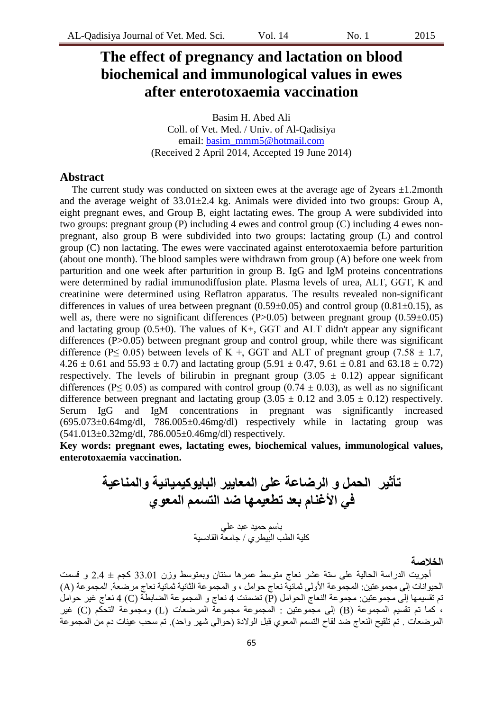# **The effect of pregnancy and lactation on blood biochemical and immunological values in ewes after enterotoxaemia vaccination**

Basim H. Abed Ali Coll. of Vet. Med. / Univ. of Al-Qadisiya email: [basim\\_mmm5@hotmail.com](mailto:basim_mmm5@hotmail.com) (Received 2 April 2014, Accepted 19 June 2014)

### **Abstract**

The current study was conducted on sixteen ewes at the average age of 2years  $\pm 1.2$ month and the average weight of  $33.01\pm2.4$  kg. Animals were divided into two groups: Group A, eight pregnant ewes, and Group B, eight lactating ewes. The group A were subdivided into two groups: pregnant group (P) including 4 ewes and control group (C) including 4 ewes nonpregnant, also group B were subdivided into two groups: lactating group (L) and control group (C) non lactating. The ewes were vaccinated against enterotoxaemia before parturition (about one month). The blood samples were withdrawn from group (A) before one week from parturition and one week after parturition in group B. IgG and IgM proteins concentrations were determined by radial immunodiffusion plate. Plasma levels of urea, ALT, GGT, K and creatinine were determined using Reflatron apparatus. The results revealed non-significant differences in values of urea between pregnant  $(0.59\pm0.05)$  and control group  $(0.81\pm0.15)$ , as well as, there were no significant differences (P>0.05) between pregnant group (0.59 $\pm$ 0.05) and lactating group  $(0.5\pm 0)$ . The values of K+, GGT and ALT didn't appear any significant differences (P>0.05) between pregnant group and control group, while there was significant difference (P $\leq$  0.05) between levels of K +, GGT and ALT of pregnant group (7.58  $\pm$  1.7,  $4.26 \pm 0.61$  and  $55.93 \pm 0.7$ ) and lactating group  $(5.91 \pm 0.47, 9.61 \pm 0.81$  and  $63.18 \pm 0.72)$ respectively. The levels of bilirubin in pregnant group  $(3.05 \pm 0.12)$  appear significant differences (P $\leq$  0.05) as compared with control group (0.74  $\pm$  0.03), as well as no significant difference between pregnant and lactating group  $(3.05 \pm 0.12 \text{ and } 3.05 \pm 0.12)$  respectively. Serum IgG and IgM concentrations in pregnant was significantly increased  $(695.073\pm0.64$ mg/dl,  $786.005\pm0.46$ mg/dl) respectively while in lactating group was (541.013±0.32mg/dl, 786.005±0.46mg/dl) respectively.

**Key words: pregnant ewes, lactating ewes, biochemical values, immunological values, enterotoxaemia vaccination.** 

**تأثٍر الحول و الرضاعة على الوعاٌٍر الباٌىكٍوٍائٍة والوناعٍة فً األغنام بعد تطعٍوها ضد التسون الوعىي**  باسن زوٍذ ػبذ ػلً

ملٍت الطب البٍطشي / خاهؼت القادسٍت

#### **الخالصة**

أجريت الدراسة الحالية على ستة عشر نعاج متوسط عمرها سنتان وبمتوسط وزن 33.01 كجم ± 2.4 و قسمت الحيوانات إلى مجموعتين: المجموعة الأولى ثمانية نعاج حوامل ، و المجموعة الثانية ثمانية نعاج مرضعة. المجموعة (A) تم تقسيمها إلى مجموعتين: مجموعة النعاج الحوامل (P) تضمنت 4 نعاج و المجموعة الضابطة (C) 4 نعاج غير حوامل ، كما نم نقسيم المجموعة (B) إلى مجموعتين : المجموعة مجموعة المرضعات (L) ومجموعة النحكم (C) غير المرضعات . تم تلقيح النعاج صد لقاح التسمّم المعوي قبل الولادة (حوالي شهر واحد). تُم سحب عينات دم من المجموعة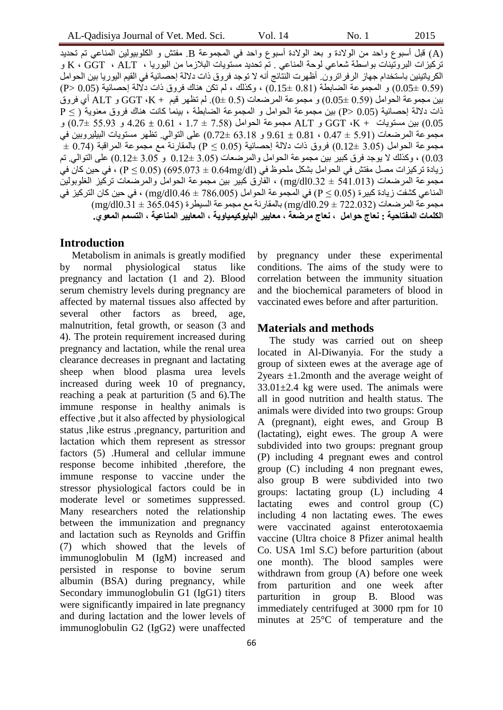)A )قبل أسبىع وازذ هي الىالدة و بؼذ الىالدة أسبىع وازذ فً الودوىػت B. هفخش و النلىبٍىلٍي الوٌاػً حن حسذٌذ تركيزات البروتينات بواسطة شعاعي لوحة المناعي . تم تحديد مستويات البلازما من اليوريا ، K ، GGT ، ALT و الكرياتينين باستخدام جهاز الرفراترون. أظهرت النتَّائج أنَّه لا توجد فروق ذات دلالة إحصائية في القيم اليوريا بين الحوامل ( 0.59  $(0.05)$  و المجموعة الضابطة  $(0.15 \pm 0.81)$  ، وكذلك ، لم نكن هناك فروق ذات دلالة إحصائية (0.05  $($ P) بين مجموعة الحوامل (0.59 ±0.05) و مجموعة المرضعات (0.5 ±0). لم تظهر قيم + GGT ،K و ALT أي فروق ذات دلالة إحصائية (0.05 <P) بين مجموعة الحوامل و المجموعة الضابطة ، بينما كانت هناك فروق معنوية ( > P و GGT (K + ) بين مسنويات + K، GGT و ALT مجموعة الحوامل (7.58 + 1.7 ، 4.26  $\pm$  4.26 و 55.93  $+0.7$ ) و هجموعة المرضعات (5.91 ± 0.47 ، 0.47 و 63.18  $(0.72 \pm 63.18$  على النوالي. نظهر مسنويات البيليروبين في  $\pm$  0.74) مجموعة الحوامل (3.05  $0.12 \pm 0.05$ ) فروق ذات دلالة إحصائية (0.05  $\times$  ) بالمقارنة مع مجموعة المراقبة (0.74 0.03) ، وكذلك لا يوجد فرق كبير بين مجموعة الحوامل والمرضعات (3.05 ±0.12 و 3.05 ±0.12) على التوالي. تم ن يادة تركيزات مصل مفتش في الحوامل بشكل ملحوظ في (25.073 ± 0.64mg/dl) (95.073 في حين كان في (P  $\leq 0.05$ ) ، في م هجمو عة المرضعات (541.013  $\pm$  541.013 ) ، الفارق كبير بين مجموعة الحوامل والمرضعات تركيز الغلوبولين المناعي كشفت زيادة كبيرة (0.05  ${\rm P}\leq 0.05$  في المجموعة الحوامل (786.005  $+0.46\pm0.46$  ) ، في حين كان التركيز في  $\rm (mg/d10.31 \pm 365.045)$  مجموعة المرضعات  $\rm (mg/d10.29 \pm 722.032)$  بالمقارنة مع مجموعة السيطرة ( الكلمات المفتاحية : نعاج حوامل ، نعاج مرضعة ، معايير البايوكيمياوية ، المعايير المناعية ، التسمم المعو ي.

#### **Introduction**

Metabolism in animals is greatly modified by normal physiological status like pregnancy and lactation (1 and 2). Blood serum chemistry levels during pregnancy are affected by maternal tissues also affected by several other factors as breed, age, malnutrition, fetal growth, or season (3 and 4). The protein requirement increased during pregnancy and lactation, while the renal urea clearance decreases in pregnant and lactating sheep when blood plasma urea levels increased during week 10 of pregnancy, reaching a peak at parturition (5 and 6).The immune response in healthy animals is effective ,but it also affected by physiological status ,like estrus ,pregnancy, parturition and lactation which them represent as stressor factors (5) .Humeral and cellular immune response become inhibited ,therefore, the immune response to vaccine under the stressor physiological factors could be in moderate level or sometimes suppressed. Many researchers noted the relationship between the immunization and pregnancy and lactation such as Reynolds and Griffin (7) which showed that the levels of immunoglobulin M (IgM) increased and persisted in response to bovine serum albumin (BSA) during pregnancy, while Secondary immunoglobulin G1 (IgG1) titers were significantly impaired in late pregnancy and during lactation and the lower levels of immunoglobulin G2 (IgG2) were unaffected by pregnancy under these experimental conditions. The aims of the study were to correlation between the immunity situation and the biochemical parameters of blood in vaccinated ewes before and after parturition.

#### **Materials and methods**

The study was carried out on sheep located in Al-Diwanyia. For the study a group of sixteen ewes at the average age of 2years ±1.2month and the average weight of  $33.01 \pm 2.4$  kg were used. The animals were all in good nutrition and health status. The animals were divided into two groups: Group A (pregnant), eight ewes, and Group B (lactating), eight ewes. The group A were subdivided into two groups: pregnant group (P) including 4 pregnant ewes and control group (C) including 4 non pregnant ewes, also group B were subdivided into two groups: lactating group (L) including 4 lactating ewes and control group (C) including 4 non lactating ewes. The ewes were vaccinated against enterotoxaemia vaccine (Ultra choice 8 Pfizer animal health Co. USA 1ml S.C) before parturition (about one month). The blood samples were withdrawn from group (A) before one week from parturition and one week after parturition in group B. Blood was immediately centrifuged at 3000 rpm for 10 minutes at 25°C of temperature and the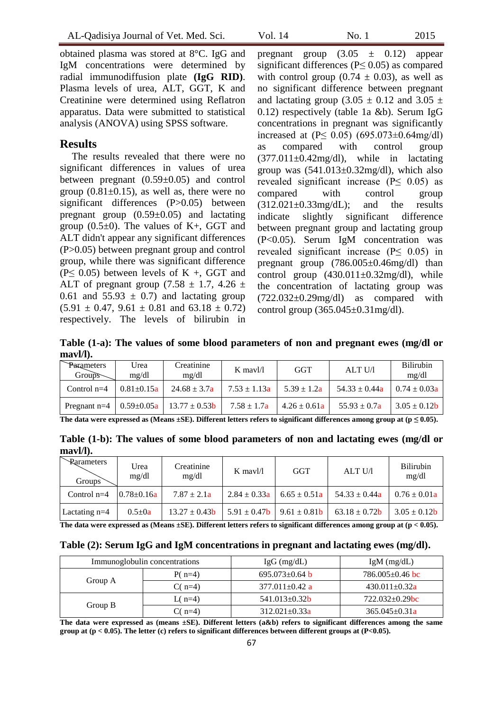obtained plasma was stored at 8°C. IgG and IgM concentrations were determined by radial immunodiffusion plate **(IgG RID)**. Plasma levels of urea, ALT, GGT, K and Creatinine were determined using Reflatron apparatus. Data were submitted to statistical analysis (ANOVA) using SPSS software.

## **Results**

The results revealed that there were no significant differences in values of urea between pregnant (0.59±0.05) and control group  $(0.81\pm0.15)$ , as well as, there were no significant differences (P>0.05) between pregnant group (0.59±0.05) and lactating group  $(0.5\pm0)$ . The values of K+, GGT and ALT didn't appear any significant differences (P>0.05) between pregnant group and control group, while there was significant difference ( $P \leq 0.05$ ) between levels of K +, GGT and ALT of pregnant group (7.58  $\pm$  1.7, 4.26  $\pm$ 0.61 and  $55.93 \pm 0.7$  and lactating group  $(5.91 \pm 0.47, 9.61 \pm 0.81$  and  $63.18 \pm 0.72)$ respectively. The levels of bilirubin in

pregnant group  $(3.05 \pm 0.12)$  appear significant differences ( $P \leq 0.05$ ) as compared with control group (0.74  $\pm$  0.03), as well as no significant difference between pregnant and lactating group (3.05  $\pm$  0.12 and 3.05  $\pm$ 0.12) respectively (table 1a &b). Serum IgG concentrations in pregnant was significantly increased at  $(P \le 0.05)$  (695.073±0.64mg/dl) as compared with control group  $(377.011\pm0.42mg/dl)$ , while in lactating group was  $(541.013\pm0.32mg/dl)$ , which also revealed significant increase (P≤ 0.05) as compared with control group  $(312.021\pm0.33mg/dL)$ ; and the results indicate slightly significant difference between pregnant group and lactating group (P<0.05). Serum IgM concentration was revealed significant increase ( $P \leq 0.05$ ) in pregnant group (786.005±0.46mg/dl) than control group  $(430.011 \pm 0.32 \text{mg/dl})$ , while the concentration of lactating group was  $(722.032\pm0.29mg/dl)$  as compared with control group (365.045±0.31mg/dl).

**Table (1-a): The values of some blood parameters of non and pregnant ewes (mg/dl or mavl/l).**

| Parameters<br>$Groups-$ | Urea<br>mg/dl     | Creatinine<br>mg/dl | $K$ mayl/l       | <b>GGT</b>                      | ALT U/I           | <b>Bilirubin</b><br>mg/dl |
|-------------------------|-------------------|---------------------|------------------|---------------------------------|-------------------|---------------------------|
| Control $n=4$           | $0.81 \pm 0.15a$  | $24.68 \pm 3.7a$    | $7.53 \pm 1.13a$ | $5.39 \pm 1.2a$                 | $54.33 \pm 0.44a$ | $0.74 \pm 0.03a$          |
| Pregnant $n=4$          | $0.59 \pm 0.05$ a | $13.77 \pm 0.53$ b  | $7.58 \pm 1.7a$  | $4.26 \pm 0.61a$                | $55.93 \pm 0.7a$  | $3.05 \pm 0.12$ <b>b</b>  |
| ____                    | ---               |                     | ____             | $\sim$ $\sim$ $\sim$<br>$    -$ |                   | .                         |

The data were expressed as (Means  $\pm$ SE). Different letters refers to significant differences among group at ( $p \le 0.05$ ).

**Table (1-b): The values of some blood parameters of non and lactating ewes (mg/dl or mavl/l).**

| Rarameters<br>Groups <sup>7</sup> | Urea<br>mg/dl     | Creatinine<br>mg/dl | $K$ mayl/l       | GGT                                   | ALT U/I            | <b>Bilirubin</b><br>mg/dl |
|-----------------------------------|-------------------|---------------------|------------------|---------------------------------------|--------------------|---------------------------|
| Control $n=4$                     | $10.78 \pm 0.16a$ | $7.87 \pm 2.1a$     | $2.84 \pm 0.33a$ | $6.65 \pm 0.51a$                      | $54.33 \pm 0.44a$  | $0.76 \pm 0.01a$          |
| Lactating $n=4$                   | $0.5 \pm 0a$      | $13.27 \pm 0.43$    |                  | $5.91 \pm 0.47$ b   $9.61 \pm 0.81$ b | $63.18 \pm 0.72$ b | $3.05 \pm 0.12$ <b>b</b>  |

**The data were expressed as (Means ±SE). Different letters refers to significant differences among group at (p < 0.05).**

|  | Table (2): Serum IgG and IgM concentrations in pregnant and lactating ewes (mg/dl). |  |
|--|-------------------------------------------------------------------------------------|--|
|  |                                                                                     |  |

|         | Immunoglobulin concentrations | $IgG$ (mg/dL)        | $IgM$ (mg/dL)         |  |
|---------|-------------------------------|----------------------|-----------------------|--|
| Group A | $P(n=4)$                      | $695.073 \pm 0.64$ b | $786.005 \pm 0.46$ bc |  |
|         | $C(n=4)$                      | $377.011 \pm 0.42$ a | $430.011 \pm 0.32a$   |  |
| Group B | L( $n=4$ )                    | $541.013 \pm 0.32b$  | $722.032+0.29$ bc     |  |
|         | $C(n=4)$                      | $312.021 \pm 0.33a$  | $365.045 \pm 0.31a$   |  |

**The data were expressed as (means ±SE). Different letters (a&b) refers to significant differences among the same group at (p < 0.05). The letter (c) refers to significant differences between different groups at (P<0.05).**